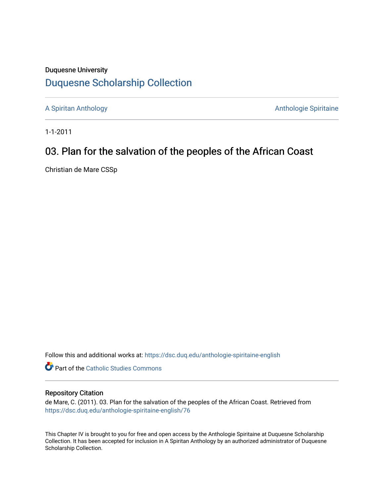## Duquesne University [Duquesne Scholarship Collection](https://dsc.duq.edu/)

[A Spiritan Anthology](https://dsc.duq.edu/anthologie-spiritaine-english) **Anthology** Anthologie Spiritaine

1-1-2011

# 03. Plan for the salvation of the peoples of the African Coast

Christian de Mare CSSp

Follow this and additional works at: [https://dsc.duq.edu/anthologie-spiritaine-english](https://dsc.duq.edu/anthologie-spiritaine-english?utm_source=dsc.duq.edu%2Fanthologie-spiritaine-english%2F76&utm_medium=PDF&utm_campaign=PDFCoverPages)

**Part of the [Catholic Studies Commons](http://network.bepress.com/hgg/discipline/1294?utm_source=dsc.duq.edu%2Fanthologie-spiritaine-english%2F76&utm_medium=PDF&utm_campaign=PDFCoverPages)** 

### Repository Citation

de Mare, C. (2011). 03. Plan for the salvation of the peoples of the African Coast. Retrieved from [https://dsc.duq.edu/anthologie-spiritaine-english/76](https://dsc.duq.edu/anthologie-spiritaine-english/76?utm_source=dsc.duq.edu%2Fanthologie-spiritaine-english%2F76&utm_medium=PDF&utm_campaign=PDFCoverPages) 

This Chapter IV is brought to you for free and open access by the Anthologie Spiritaine at Duquesne Scholarship Collection. It has been accepted for inclusion in A Spiritan Anthology by an authorized administrator of Duquesne Scholarship Collection.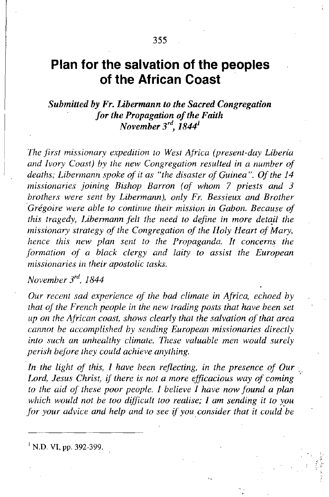## **Plan for the salvation of the peoples of the African Coast**

### *Submitted by Fr. Libermann to the Sacred Congregation for the Propagation ofthe Faith November 3'd, 1844<sup>1</sup>*

*Ihe first missionary expedition to West Africa (present-day Liberia and Ivory Coast) by the new Congregation resulted in a number of deaths; Libermann spoke of it as "the disaster of Guinea". Of the 14 missionaries joining Bishop Barron (of whom* 7 *priests and 3 brothers were sent by Libermann), only Fr. Bessieux and Brother 'Gregoire were able to continue their mission in Gabon. Because of this tragedy, Libermann felt the need to define in more detaJi the missionary strategy of the Congregation of the Holy Heart of Mary, hence this new plan sent to the Propaganda. It concerns the formation of a black clergy and laity to assist the European missionaries in their apostolic tasks.*

*November 3"t, 1844*

*Our recent sad experience of the bad climate in Africa, echoed by that of the French people in the new trading posts that have been set up on the African coast, shows clearly that the salvation ofthat area cannot be accomplished by sending European missionaries directly into such an unhealthy climate. Ihese valuable men would surely perish before they could achieve anything.* 

*In the light of this, I have been reflecting, in the presence of Our Lord, Jesus Christ, if there is not a more efficacious way of coming to the aid of these poor people. I believe I have now found a plan which would not be too difficult too realise; I am sending it to you for your advice and help and to see if you consider that it coula'be*

<sup>1</sup> N.D. VI, pp. 392-399.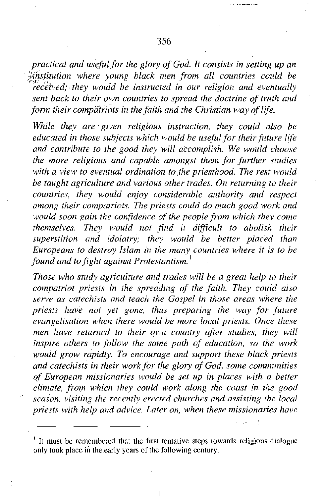*practical and useful for the glory of God. It consists in setting up an . '('institution where young black men from all countries could be r';,·* ,I' *received; they would be instructed in our religion and eventually sent back to their countries to spread the doctrine of truth and form their compatriots in the faith and the Christian way oflife.*

*While they are' given religious instruction. they could also be educated in those subjects which would be useful for theirfuture lire and contribute to the good they will accomplish. We would choose the more religious and capable amongst them for further studies with a view to eventual ordination to ,the priesthood. The rest would be taught agriculture and various other trades. On returning to their countries. they would enjoy considerable authority and respect among their compatriots. The priests could do much good work and would soon gain the confidence of the people from which they come themselves. They would not find it difficult to abolish their superstition and idolatry; they would be better placed than Europeans to destroy Islam in the many countries where it is to be found and to fight against Protestantism.* <sup>1</sup>

*Those who study agriculture and trades will be a great help to their compatriot priests in the spreading of the faith. They could also serve as catechists and teach the Gospel in those areas where the priests have not yet gone. thus preparing the way for future evangelisation when there would be more local priests. Once these men have returned to their own country after studies, they will inspire others to follow the same path of education, so the work would grow rapidly. To encourage and support these black priests and catechists in their work for the glory of God. some communities of European missionaries would be set up in places with a better climate, frof!l which they could work along the coast in the good season, visiting the recently erected churches and assisting the local priests with help and advice. Later on, when these missionaries have*

I It must be remembered that the first tentative steps towards religious dialogue only took place in the early years of the following century.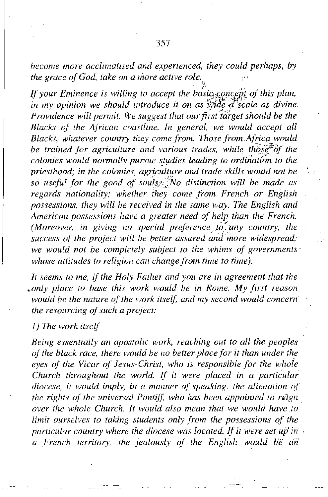*become more acclimatised and experienced, they could perhaps. by the grace of God, take on a more active role.* 

*If your Eminence is willing to accept the of this plan, in my opinion* we *should introduce it on as wide d scale as divine Providence will permit. We suggest that ourfi;d'idrget should be the Blacks of the Atrican coastline. In general, we would accept all Blacks. whatever country they come from. Ihose from Africa would be trained for agriculture and various trades, while th'qst'iif the*  $i$ *colonies* would normally pursue studies leading to ordination to the *priesthood; in the colonies, agriculture and trade skills would not be so useful for the good of distinction will be made as regards nationality; whether they come from French or English possessions, they will be received in the same way. The English and American possessions have a greater need of help than the French. (Moreover, in giving no special preference*  $\chi$ *<sup>5</sup>/any <i>country*, the *success of the project will be better assured and more widespread; we would not be completely subject to the whims of governments' whose attitudes to religion can change from time to time).*

*It seems to me, if the Holy Father and you are in agreement that the •only place to hase this work would he in Rome. My first reason would* be the nature of the work itself, and my second would concern *the resourcing of such a project:* 

*,I) The work itself*

*Being essentially an apostolic work, reaching out to all the peoples of the black race, there would be no better place for it than under the eyes of the Vicar of Jesus-Christ, who is responsible for the whole Church throughout the world. If it were placed in a particular diocese, if would imply, in a manner of speaking, the alienation of the rights ot the universal Pontiff, who has been appointed to r€lgn over the whole Church. It would also mean that we would have to limit ourselves to taking students only from the possessions of the particular country where the diocese was located. Ifit were set ufi in a French territory, the jealously of the English would He dn'*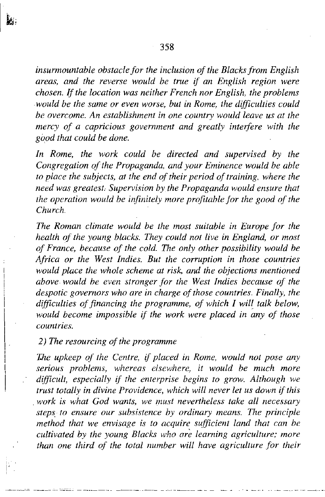*insurmountable obstacle for the inclusion of the Blacks from English areas, and the reverse would be true if an English region were chosen. Ifthe location was neither French nor English, the problems would be the same or even worse, but in Rome, the difficulties could be overcome. An establishment in one country would leave us at the mercy of a capricious government and greatly interfere with the good that could be done.*

*In Rome, the work could be directed and supervised by the Congregation ofthe Propaganda, and your Eminence would be able to place the subjects, at the end oftheir period of training, where the need was greatest. Supervision by the Propaganda would ensure that the operation would be infinitely more profitable for the good ofthe Church.*

*The Roman climate would be the most suitable in Europe for the health of the young blacks. 1hey could not live in England, or most of France, because of the cold. The only other possibility would be Africa or the West Indies. But the corruption in those countries would place the whole scheme at risk, and the objections mentioned above would be even stronger for the West Indies because of the despotic governors who are in charge ofthose countries. Finally, the difficulties offinancing the programme, of which I will talk below, would become impossible if the work were placed in any of those countries.*

#### *2) The resourcing of the programme*

I I I

勝

i

*T.he upkeep of the Centre, if placed in Rome, would not pose any serious problems, whereas elsewhere, it would be much more difficult, especially if the enterprise begins to grow. Although we trust totally in divine Providence, which will never let us down if this .work is what God wants, we must nevertheless take all necessary steps, to ensure our subsistence by ordinary means. The principle method that we envisage is to acquire sufficient land that can be cultivated by the young Blacks who are learning agriculture; more than one third of the total number will have agriculture for their*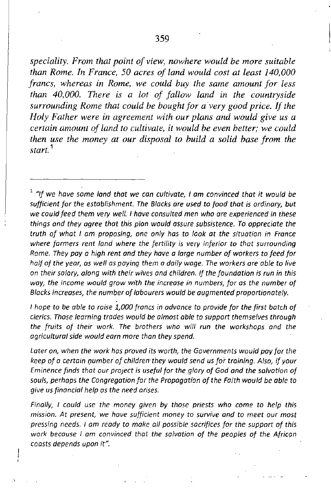*speciality. From that point of view, nowhere would be more suitable than Rome. In France, 50 acres of land would cost at least 140,000 francs, whereas in Rome, we could buy the same amount for less than 40,000. There* is *a lot of fallow land in the countryside surrounding Rome that could be bought for avery good price. If the Holy Father were in agreement with our plans and would give us a certain amount of land to cultivate, it would be even better; we could then use the money at our disposal to build a solid base from the start.* <sup>1</sup>

<sup>1</sup> *"If we have same land* that *we can cultivate,* I *am canvinced* that it *would be sufficient for the establishment. The Blacks are used* to *food* that *is ordinary, but we could feed them very well.* I *have consulted men who are experienced in these things and they agree that this plan would assure subsistence. To appreciate the truth of what I am proposing, one only has* to *look at the situation in France where farmers rent land where the fertility is very inferior* to *that surrounding Rome. They pay* a *high rent and they have a large number of workers* to *feed for half Of the year, as well as paying them a daily wage. The workers are able* to *live on their salary, along with their wives and children. If the foundation is run in this the income would grow with the increase in numbers, for as the number of Blocks increases, the number of labourers would be augmented proportionately.*

*I hope* to *be able* to *raise 1,000 froncs in advance* to *provide for the first botch of cferics. Those learning trades would be almost able* to *support themselves through the fruits of their work. The brothers who will run the workshops and the agricultural side would earn more than they spend.*

*Later on, when the work has proved its worth, the Governments would pay for the keep of* a *certain Qumber of children they would send us for training. Also, if your Eminence finds that our project* is *useful for the glory of God and the salvation of souls, perhaps the Congregation for the Propagation of the Faith would be able* to *give* us *financial help as the need arises.*

*Finally,* I *could use the money given by those priests who come* to *help this mission. At present, we have sufficient money* **to** *survive and* **to** *meet our most pressing needs.* I *am ready* to *make all possible sacrifices for the support of this work because* I *am convinced that the salvation of the peoples of the African coasts depends upon it".*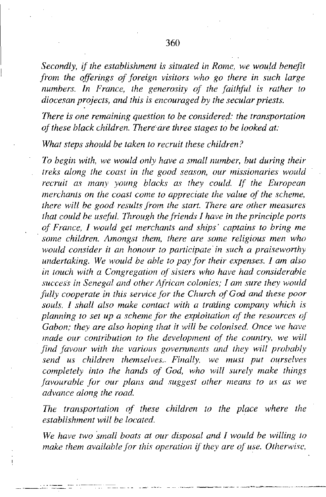*Secondly, if the establishment is situated in Rome, we would benefit from the offerings of foreign visitors who go there in such large numbers. /n France, the generosity of the faithful is rather to diocesan projects, and this is encouraged by the secular priests.*

*There is one remaining question to be considered: the transportation ofthese black children. There'are three stages to be looked at:*

*What steps should be taken to recruit these children?*

*To begin with, we would only have a small number, but during their treks along the coast in the good season, our missionaries would recruit as many young blacks as they could. /1' the European merchants on the coast come to appreciate the value or the scheme, there will be good results from the start. There are other measures that could be useful. Ihrough the friends* / *have in the principle ports of France,* / *would get merchants and ships' captains to bring me . some children. Amongst them, there are some religious men who would consider it an honour to participate' in such a praiseworthy undertaking. We would be able to pay for their expenses.* / *am also in touch with a Congregation of sisters who have had considerable success in Senegal and other African colonies;* / *am sure they would fully cooperate in this service for the Church ofGod and these poor souls.* / *shall also make contact with a tra'ding company which is planning to set up a scheme for the exploitation of the resources or Gabon; they are also hoping that it will be colonised. Once we have made our contribution to the development or the country, we will find favour with the various governments and they will probably send us children themselves... Finally, we must put ourselves completely into the hands of God, who will surely make things favourable for our plans and suggest other means to us as we advance along the road.*

*Ihe transportation of these children to the place where the establishment will be located.*

*We have two small boats at our disposal and* / *would be willing to make them available for this operation if they are of use. Otherwise,*

 $\mathbf{I}$